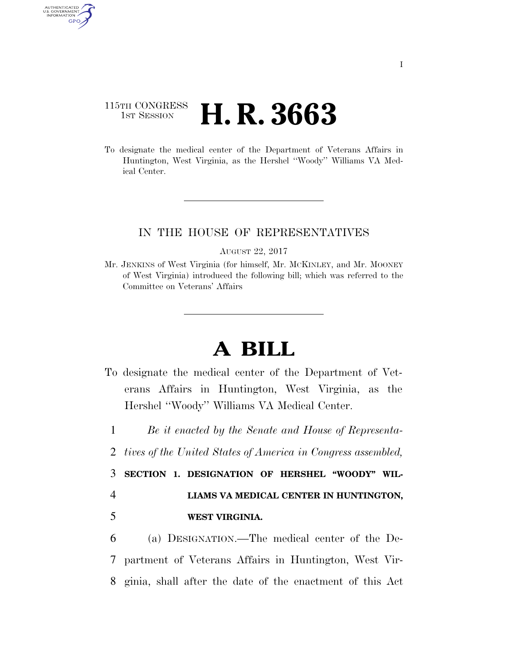## 115TH CONGRESS **1st Session H. R. 3663**

AUTHENTICATED<br>U.S. GOVERNMENT<br>INFORMATION **GPO** 

> To designate the medical center of the Department of Veterans Affairs in Huntington, West Virginia, as the Hershel ''Woody'' Williams VA Medical Center.

## IN THE HOUSE OF REPRESENTATIVES

AUGUST 22, 2017

Mr. JENKINS of West Virginia (for himself, Mr. MCKINLEY, and Mr. MOONEY of West Virginia) introduced the following bill; which was referred to the Committee on Veterans' Affairs

## **A BILL**

- To designate the medical center of the Department of Veterans Affairs in Huntington, West Virginia, as the Hershel ''Woody'' Williams VA Medical Center.
	- 1 *Be it enacted by the Senate and House of Representa-*
- 2 *tives of the United States of America in Congress assembled,*

3 **SECTION 1. DESIGNATION OF HERSHEL ''WOODY'' WIL-**4 **LIAMS VA MEDICAL CENTER IN HUNTINGTON,** 

5 **WEST VIRGINIA.** 

6 (a) DESIGNATION.—The medical center of the De-7 partment of Veterans Affairs in Huntington, West Vir-8 ginia, shall after the date of the enactment of this Act